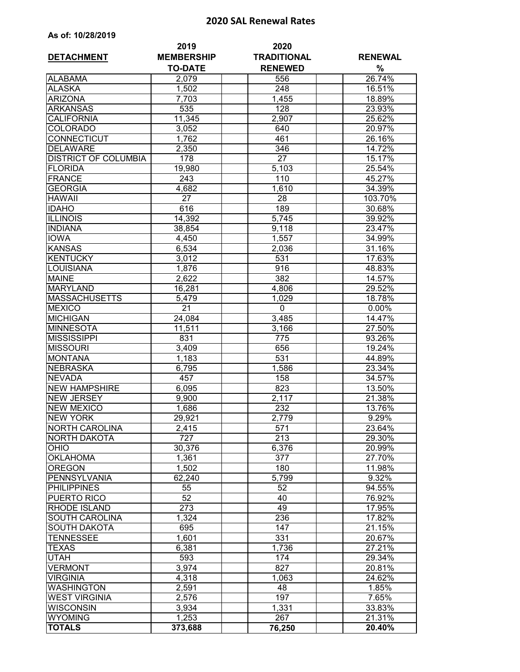## **2020 SAL Renewal Rates**

|  | As of: 10/28/2019 |  |  |  |  |
|--|-------------------|--|--|--|--|
|--|-------------------|--|--|--|--|

| <b>DETACHMENT</b>                    | 2019<br><b>MEMBERSHIP</b> | 2020<br><b>TRADITIONAL</b> | <b>RENEWAL</b>   |  |
|--------------------------------------|---------------------------|----------------------------|------------------|--|
|                                      | <b>TO-DATE</b>            | <b>RENEWED</b>             | $\%$             |  |
| <b>ALABAMA</b>                       | 2,079                     | 556                        | 26.74%           |  |
| <b>ALASKA</b>                        | 1,502                     | 248                        | 16.51%           |  |
| <b>ARIZONA</b>                       | 7,703                     | 1,455                      | 18.89%           |  |
| <b>ARKANSAS</b>                      | 535                       | 128                        | 23.93%           |  |
| <b>CALIFORNIA</b>                    | 11,345                    | 2,907                      | 25.62%           |  |
| <b>COLORADO</b>                      | 3,052                     | 640                        | 20.97%           |  |
| <b>CONNECTICUT</b>                   | 1,762                     | 461                        | 26.16%           |  |
| <b>DELAWARE</b>                      | 2,350                     | 346                        | 14.72%           |  |
| <b>DISTRICT OF COLUMBIA</b>          | 178                       | 27                         | 15.17%           |  |
| <b>FLORIDA</b>                       | 19,980                    | 5,103                      | 25.54%           |  |
| <b>FRANCE</b>                        | 243                       | 110                        | 45.27%           |  |
| <b>GEORGIA</b>                       | 4,682                     | 1,610                      | 34.39%           |  |
| <b>HAWAII</b>                        | $\overline{27}$           | 28                         | 103.70%          |  |
| <b>IDAHO</b>                         | 616                       | 189                        | 30.68%           |  |
| <b>ILLINOIS</b>                      | 14,392                    | 5.745                      | 39.92%           |  |
| <b>INDIANA</b>                       | 38,854                    | 9,118                      | 23.47%           |  |
| <b>IOWA</b>                          | 4,450                     | 1,557                      | 34.99%           |  |
| <b>KANSAS</b>                        | 6,534                     | 2,036                      | 31.16%           |  |
| <b>KENTUCKY</b>                      | 3,012                     | 531                        | 17.63%           |  |
| <b>LOUISIANA</b>                     | 1,876                     | 916                        | 48.83%           |  |
| <b>MAINE</b>                         | 2,622                     | 382                        | 14.57%           |  |
| <b>MARYLAND</b>                      |                           |                            | 29.52%           |  |
| <b>MASSACHUSETTS</b>                 | 16,281                    | 4,806                      |                  |  |
| <b>MEXICO</b>                        | 5,479<br>$\overline{21}$  | 1,029<br>$\mathbf 0$       | 18.78%           |  |
|                                      |                           |                            | $0.00\%$         |  |
| <b>MICHIGAN</b>                      | 24,084                    | 3,485                      | 14.47%           |  |
| <b>MINNESOTA</b>                     | 11,511                    | 3,166                      | 27.50%           |  |
| <b>MISSISSIPPI</b>                   | 831                       | 775                        | 93.26%           |  |
| <b>MISSOURI</b>                      | 3,409                     | 656                        | 19.24%           |  |
| <b>MONTANA</b>                       | 1,183                     | 531                        | 44.89%           |  |
| <b>NEBRASKA</b>                      | 6,795                     | 1,586                      | 23.34%           |  |
| <b>NEVADA</b>                        | 457                       | 158                        | 34.57%           |  |
| <b>NEW HAMPSHIRE</b>                 | 6,095                     | 823                        | 13.50%           |  |
| <b>NEW JERSEY</b>                    | 9,900                     | 2,117                      | 21.38%           |  |
| <b>NEW MEXICO</b><br><b>NEW YORK</b> | 1,686<br>29,921           | 232                        | 13.76%<br>9.29%  |  |
|                                      |                           | 2,779                      |                  |  |
| NORTH CAROLINA                       | 2,415                     | 571                        | 23.64%           |  |
| <b>NORTH DAKOTA</b>                  | 727                       | $\overline{213}$           | 29.30%           |  |
| <b>OHIO</b>                          | 30,376                    | 6,376<br>377               | 20.99%<br>27.70% |  |
| <b>OKLAHOMA</b>                      | 1,361                     | 180                        |                  |  |
| <b>OREGON</b>                        | 1,502                     |                            | 11.98%           |  |
| PENNSYLVANIA                         | 62,240                    | 5,799                      | 9.32%            |  |
| <b>PHILIPPINES</b>                   | 55                        | 52                         | 94.55%           |  |
| <b>PUERTO RICO</b>                   | 52                        | 40                         | 76.92%           |  |
| RHODE ISLAND                         | 273                       | 49                         | 17.95%           |  |
| <b>SOUTH CAROLINA</b>                | 1,324                     | 236                        | 17.82%           |  |
| <b>SOUTH DAKOTA</b>                  | 695                       | 147                        | 21.15%           |  |
| <b>TENNESSEE</b>                     | 1,601                     | 331                        | 20.67%           |  |
| <b>TEXAS</b>                         | 6,381                     | 1,736                      | 27.21%           |  |
| <b>UTAH</b>                          | 593                       | 174                        | 29.34%           |  |
| <b>VERMONT</b>                       | 3,974                     | 827                        | 20.81%           |  |
| <b>VIRGINIA</b>                      | 4,318                     | 1,063                      | 24.62%           |  |
| <b>WASHINGTON</b>                    | 2,591                     | 48                         | 1.85%            |  |
| <b>WEST VIRGINIA</b>                 | 2,576                     | 197                        | 7.65%            |  |
| <b>WISCONSIN</b>                     | 3,934                     | 1,331                      | 33.83%           |  |
| <b>WYOMING</b>                       | 1,253                     | 267                        | 21.31%           |  |
| <b>TOTALS</b>                        | 373,688                   | 76,250                     | 20.40%           |  |